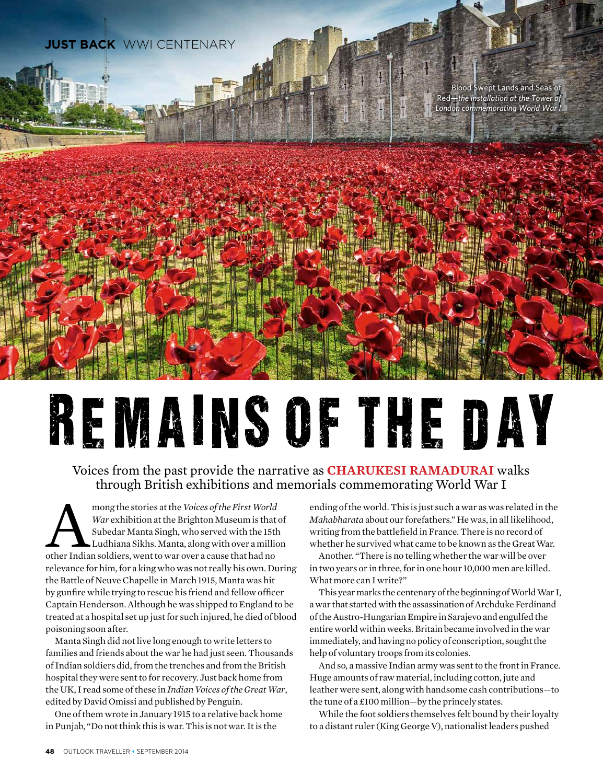

## REMAINS OF THE DAY

## Voices from the past provide the narrative as **Charukesi Ramadurai** walks through British exhibitions and memorials commemorating World War I

mong the stories at the *Voices of the First World*<br> *War* exhibition at the Brighton Museum is that Subedar Manta Singh, who served with the 15th<br>
Ludhiana Sikhs. Manta, along with over a millio<br>
other Indian soldiers, we *War* exhibition at the Brighton Museum is that of Subedar Manta Singh, who served with the 15th Ludhiana Sikhs. Manta, along with over a million relevance for him, for a king who was not really his own. During the Battle of Neuve Chapelle in March 1915, Manta was hit by gunfire while trying to rescue his friend and fellow officer Captain Henderson. Although he was shipped to England to be treated at a hospital set up just for such injured, he died of blood poisoning soon after.

Manta Singh did not live long enough to write letters to families and friends about the war he had just seen. Thousands of Indian soldiers did, from the trenches and from the British hospital they were sent to for recovery. Just back home from the UK, I read some of these in *Indian Voices of the Great War*, edited by David Omissi and published by Penguin.

One of them wrote in January 1915 to a relative back home in Punjab, "Do not think this is war. This is not war. It is the

ending of the world. This is just such a war as was related in the *Mahabharata* about our forefathers." He was, in all likelihood, writing from the battlefield in France. There is no record of whether he survived what came to be known as the Great War.

Another. "There is no telling whether the war will be over in two years or in three, for in one hour 10,000 men are killed. What more can I write?"

This year marks the centenary of the beginning of World War I, a war that started with the assassination of Archduke Ferdinand of the Austro-Hungarian Empire in Sarajevo and engulfed the entire world within weeks. Britain became involved in the war immediately, and having no policy of conscription, sought the help of voluntary troops from its colonies.

And so, a massive Indian army was sent to the front in France. Huge amounts of raw material, including cotton, jute and leather were sent, along with handsome cash contributions—to the tune of a £100 million—by the princely states.

While the foot soldiers themselves felt bound by their loyalty to a distant ruler (King George V), nationalist leaders pushed